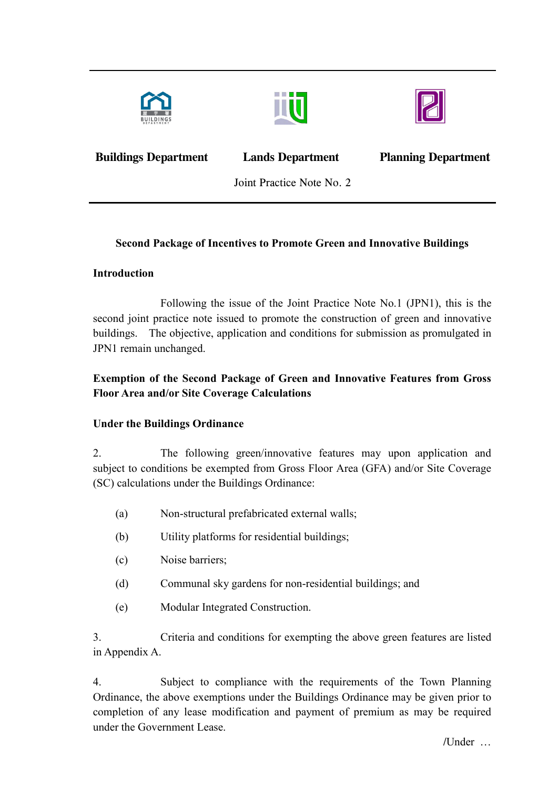





**Buildings Department Lands Department Planning Department** 

Joint Practice Note No. 2

# **Second Package of Incentives to Promote Green and Innovative Buildings**

## **Introduction**

 Following the issue of the Joint Practice Note No.1 (JPN1), this is the buildings. The objective, application and conditions for submission as promulgated in second joint practice note issued to promote the construction of green and innovative JPN1 remain unchanged.

# **Floor Area and/or Site Coverage Calculations Exemption of the Second Package of Green and Innovative Features from Gross**

# **Under the Buildings Ordinance**

2. The following green/innovative features may upon application and subject to conditions be exempted from Gross Floor Area (GFA) and/or Site Coverage (SC) calculations under the Buildings Ordinance:

- (a) Non-structural prefabricated external walls;
- (b) Utility platforms for residential buildings;
- (c) Noise barriers;
- (d) Communal sky gardens for non-residential buildings; and
- (e) Modular Integrated Construction.

3. Criteria and conditions for exempting the above green features are listed in Appendix A.

 Ordinance, the above exemptions under the Buildings Ordinance may be given prior to completion of any lease modification and payment of premium as may be required 4. Subject to compliance with the requirements of the Town Planning under the Government Lease.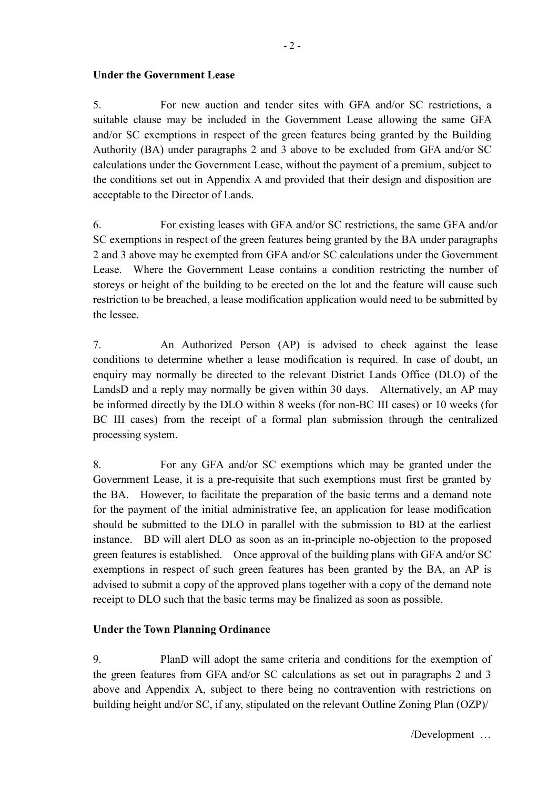### **Under the Government Lease**

 Authority (BA) under paragraphs 2 and 3 above to be excluded from GFA and/or SC 5. For new auction and tender sites with GFA and/or SC restrictions, a suitable clause may be included in the Government Lease allowing the same GFA and/or SC exemptions in respect of the green features being granted by the Building calculations under the Government Lease, without the payment of a premium, subject to the conditions set out in Appendix A and provided that their design and disposition are acceptable to the Director of Lands.

 2 and 3 above may be exempted from GFA and/or SC calculations under the Government Lease. Where the Government Lease contains a condition restricting the number of storeys or height of the building to be erected on the lot and the feature will cause such 6. For existing leases with GFA and/or SC restrictions, the same GFA and/or SC exemptions in respect of the green features being granted by the BA under paragraphs restriction to be breached, a lease modification application would need to be submitted by the lessee.

 7. An Authorized Person (AP) is advised to check against the lease LandsD and a reply may normally be given within 30 days. Alternatively, an AP may be informed directly by the DLO within 8 weeks (for non-BC III cases) or 10 weeks (for conditions to determine whether a lease modification is required. In case of doubt, an enquiry may normally be directed to the relevant District Lands Office (DLO) of the BC III cases) from the receipt of a formal plan submission through the centralized processing system.

 advised to submit a copy of the approved plans together with a copy of the demand note 8. For any GFA and/or SC exemptions which may be granted under the Government Lease, it is a pre-requisite that such exemptions must first be granted by the BA. However, to facilitate the preparation of the basic terms and a demand note for the payment of the initial administrative fee, an application for lease modification should be submitted to the DLO in parallel with the submission to BD at the earliest instance. BD will alert DLO as soon as an in-principle no-objection to the proposed green features is established. Once approval of the building plans with GFA and/or SC exemptions in respect of such green features has been granted by the BA, an AP is receipt to DLO such that the basic terms may be finalized as soon as possible.

### **Under the Town Planning Ordinance**

 building height and/or SC, if any, stipulated on the relevant Outline Zoning Plan (OZP)/ 9. PlanD will adopt the same criteria and conditions for the exemption of the green features from GFA and/or SC calculations as set out in paragraphs 2 and 3 above and Appendix A, subject to there being no contravention with restrictions on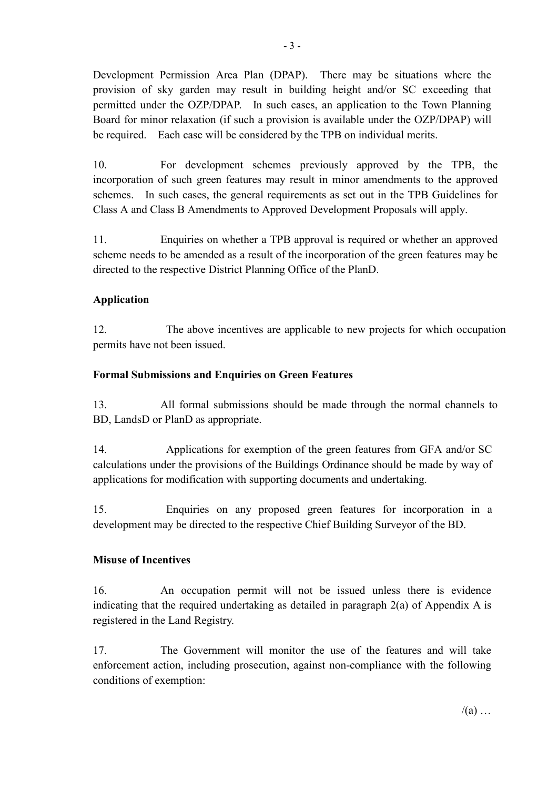be required. Each case will be considered by the TPB on individual merits. Development Permission Area Plan (DPAP). There may be situations where the provision of sky garden may result in building height and/or SC exceeding that permitted under the OZP/DPAP. In such cases, an application to the Town Planning Board for minor relaxation (if such a provision is available under the OZP/DPAP) will

 incorporation of such green features may result in minor amendments to the approved 10. For development schemes previously approved by the TPB, the schemes. In such cases, the general requirements as set out in the TPB Guidelines for Class A and Class B Amendments to Approved Development Proposals will apply.

11. Enquiries on whether a TPB approval is required or whether an approved scheme needs to be amended as a result of the incorporation of the green features may be directed to the respective District Planning Office of the PlanD.

### **Application**

12. The above incentives are applicable to new projects for which occupation permits have not been issued.

### **Formal Submissions and Enquiries on Green Features**

 BD, LandsD or PlanD as appropriate. 13. All formal submissions should be made through the normal channels to

 14. Applications for exemption of the green features from GFA and/or SC calculations under the provisions of the Buildings Ordinance should be made by way of applications for modification with supporting documents and undertaking.

15. Enquiries on any proposed green features for incorporation in a development may be directed to the respective Chief Building Surveyor of the BD.

### **Misuse of Incentives**

 $16<sup>1</sup>$ An occupation permit will not be issued unless there is evidence indicating that the required undertaking as detailed in paragraph 2(a) of Appendix A is registered in the Land Registry.

 $17<sub>1</sub>$ The Government will monitor the use of the features and will take enforcement action, including prosecution, against non-compliance with the following conditions of exemption: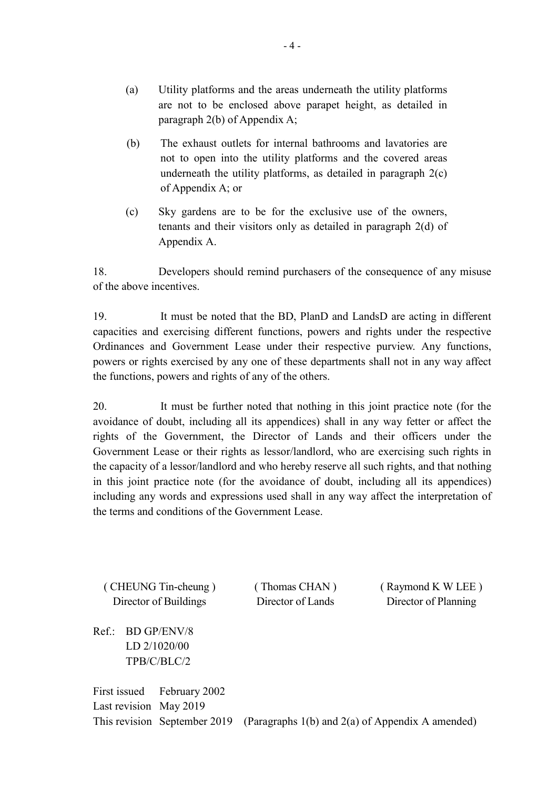- (a) Utility platforms and the areas underneath the utility platforms are not to be enclosed above parapet height, as detailed in paragraph 2(b) of Appendix A;
- (b) The exhaust outlets for internal bathrooms and lavatories are not to open into the utility platforms and the covered areas underneath the utility platforms, as detailed in paragraph 2(c) of Appendix A; or
- $(c)$ Sky gardens are to be for the exclusive use of the owners, tenants and their visitors only as detailed in paragraph 2(d) of Appendix A.

18 Developers should remind purchasers of the consequence of any misuse of the above incentives.

 powers or rights exercised by any one of these departments shall not in any way affect 19. It must be noted that the BD, PlanD and LandsD are acting in different capacities and exercising different functions, powers and rights under the respective Ordinances and Government Lease under their respective purview. Any functions, the functions, powers and rights of any of the others.

 the capacity of a lessor/landlord and who hereby reserve all such rights, and that nothing the terms and conditions of the Government Lease. 20. It must be further noted that nothing in this joint practice note (for the avoidance of doubt, including all its appendices) shall in any way fetter or affect the rights of the Government, the Director of Lands and their officers under the Government Lease or their rights as lessor/landlord, who are exercising such rights in in this joint practice note (for the avoidance of doubt, including all its appendices) including any words and expressions used shall in any way affect the interpretation of

( CHEUNG Tin-cheung ) ( Thomas CHAN ) ( Raymond K W LEE ) Director of Buildings Director of Lands Director of Planning

Ref.: BD GP/ENV/8 LD 2/1020/00 TPB/C/BLC/2

 Last revision May 2019 This revision September 2019 (Paragraphs 1(b) and 2(a) of Appendix A amended) First issued February 2002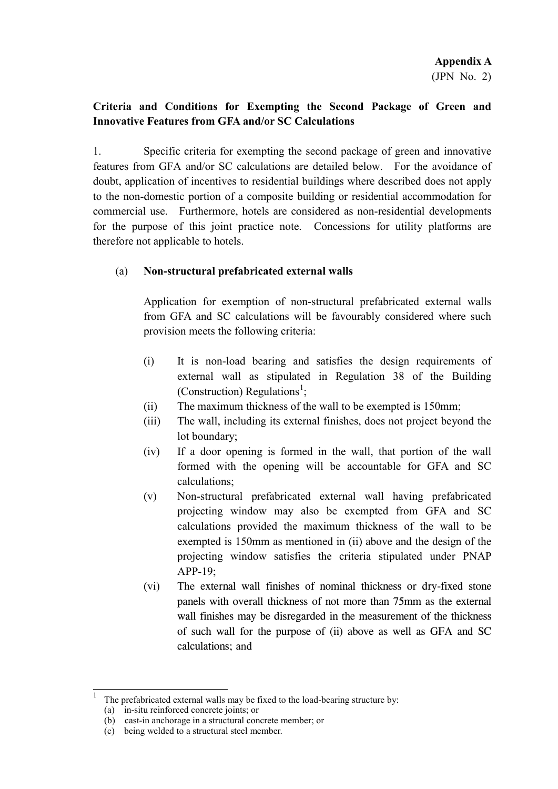# **Innovative Features from GFA and/or SC Calculations Criteria and Conditions for Exempting the Second Package of Green and**

 features from GFA and/or SC calculations are detailed below. For the avoidance of therefore not applicable to hotels. 1. Specific criteria for exempting the second package of green and innovative doubt, application of incentives to residential buildings where described does not apply to the non-domestic portion of a composite building or residential accommodation for commercial use. Furthermore, hotels are considered as non-residential developments for the purpose of this joint practice note. Concessions for utility platforms are

### (a) **Non-structural prefabricated external walls**

Application for exemption of non-structural prefabricated external walls from GFA and SC calculations will be favourably considered where such provision meets the following criteria:

- (i) It is non-load bearing and satisfies the design requirements of external wall as stipulated in Regulation 38 of the Building (Construction) Regulations<sup>[1](#page-4-0)</sup>;
- (ii) The maximum thickness of the wall to be exempted is 150mm;
- (iii) The wall, including its external finishes, does not project beyond the lot boundary;
- formed with the opening will be accountable for GFA and SC (iv) If a door opening is formed in the wall, that portion of the wall calculations;
- $APP-19$ : (v) Non-structural prefabricated external wall having prefabricated projecting window may also be exempted from GFA and SC calculations provided the maximum thickness of the wall to be exempted is 150mm as mentioned in (ii) above and the design of the projecting window satisfies the criteria stipulated under PNAP
- (vi) The external wall finishes of nominal thickness or dry-fixed stone panels with overall thickness of not more than 75mm as the external wall finishes may be disregarded in the measurement of the thickness of such wall for the purpose of (ii) above as well as GFA and SC calculations; and

<span id="page-4-0"></span> 1 The prefabricated external walls may be fixed to the load-bearing structure by:

<sup>(</sup>a) in-situ reinforced concrete joints; or

<sup>(</sup>b) cast-in anchorage in a structural concrete member; or

<sup>(</sup>c) being welded to a structural steel member.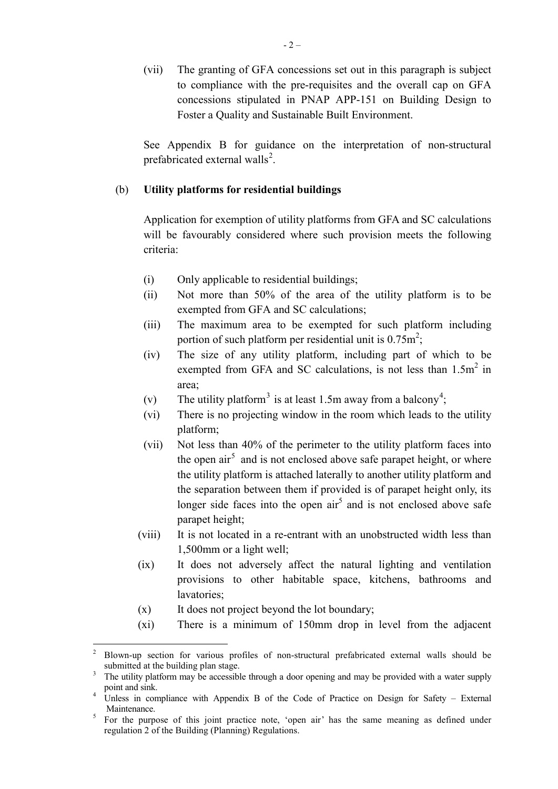Foster a Quality and Sustainable Built Environment. (vii) The granting of GFA concessions set out in this paragraph is subject to compliance with the pre-requisites and the overall cap on GFA concessions stipulated in PNAP APP-151 on Building Design to

prefabricated external walls<sup>[2](#page-5-1)</sup>. See Appendix B for guidance on the interpretation of non-structural

### . (b) **Utility platforms for residential buildings**

Application for exemption of utility platforms from GFA and SC calculations will be favourably considered where such provision meets the following criteria:

- (i) Only applicable to residential buildings;
- (ii) Not more than 50% of the area of the utility platform is to be exempted from GFA and SC calculations;
- portion of such platform per residential unit is  $0.75m^2$ ; (iii) The maximum area to be exempted for such platform including
- (iv) The size of any utility platform, including part of which to be exempted from GFA and SC calculations, is not less than 1.5m<sup>2</sup> in area;
- (v) The utility platform<sup>[3](#page-5-2)</sup> is at least 1.5m away from a balcony<sup>[4](#page-5-3)</sup>;
- (vi) There is no projecting window in the room which leads to the utility platform;
- <span id="page-5-0"></span>the open air<sup>5</sup> and is not enclosed above safe parapet height, or where (vii) Not less than 40% of the perimeter to the utility platform faces into the utility platform is attached laterally to another utility platform and the separation between them if provided is of parapet height only, its longer side faces into the open  $\arctan^5$  and is not enclosed above safe parapet height;
- 1,500mm or a light well; (viii) It is not located in a re-entrant with an unobstructed width less than
- (ix) It does not adversely affect the natural lighting and ventilation provisions to other habitable space, kitchens, bathrooms and lavatories;
- (x) It does not project beyond the lot boundary;

 $\overline{a}$ 

(xi) There is a minimum of 150mm drop in level from the adjacent

<span id="page-5-1"></span><sup>2</sup> Blown-up section for various profiles of non-structural prefabricated external walls should be submitted at the building plan stage.<br>The utility platform may be accessible through a door opening and may be provided with a water supply

<span id="page-5-2"></span>point and sink.

<span id="page-5-3"></span> $\overline{4}$ Unless in compliance with Appendix B of the Code of Practice on Design for Safety – External

<span id="page-5-4"></span>Maintenance.<br><sup>5</sup> For the purpose of this joint practice note, 'open air' has the same meaning as defined under regulation 2 of the Building (Planning) Regulations.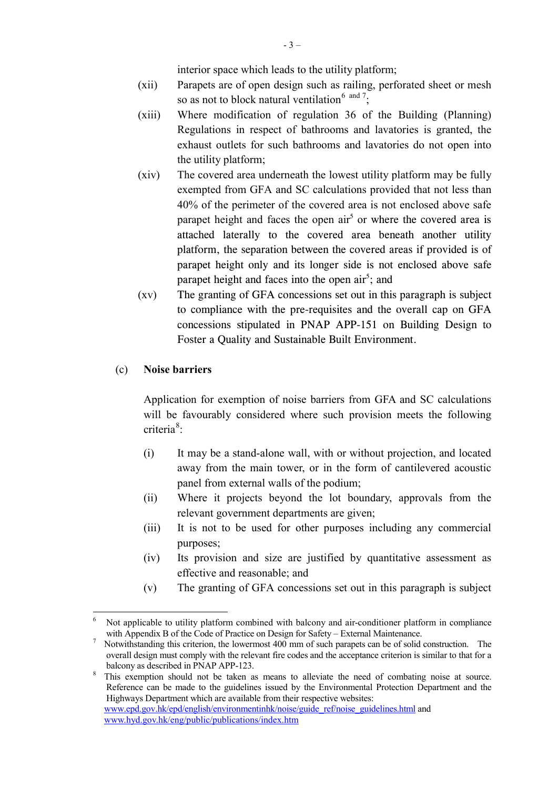interior space which leads to the utility platform;

- (xii) Parapets are of open design such as railing, perforated sheet or mesh so as not to block natural ventilation<sup>[6](#page-6-0)</sup> and  $\frac{7}{7}$  $\frac{7}{7}$  $\frac{7}{7}$ ;
- (xiii) Where modification of regulation 36 of the Building (Planning) Regulations in respect of bathrooms and lavatories is granted, the exhaust outlets for such bathrooms and lavatories do not open into the utility platform;
- platform, the separation between the covered areas if provided is of parapet height only and its longer side is not enclosed above safe (xiv) The covered area underneath the lowest utility platform may be fully exempted from GFA and SC calculations provided that not less than 40% of the perimeter of the covered area is not enclosed above safe parapet height and faces the open  $air<sup>5</sup>$  or where the covered area is attached laterally to the covered area beneath another utility parapet height and faces into the open  $air<sup>5</sup>$ ; and
- (xv) The granting of GFA concessions set out in this paragraph is subject to compliance with the pre-requisites and the overall cap on GFA concessions stipulated in PNAP APP-151 on Building Design to Foster a Quality and Sustainable Built Environment.

#### (c) **Noise barriers**

 $\overline{a}$ 

Application for exemption of noise barriers from GFA and SC calculations will be favourably considered where such provision meets the following criteria<sup>[8](#page-6-2)</sup>:

- (i) It may be a stand-alone wall, with or without projection, and located away from the main tower, or in the form of cantilevered acoustic panel from external walls of the podium;
- (ii) Where it projects beyond the lot boundary, approvals from the relevant government departments are given;
- (iii) It is not to be used for other purposes including any commercial purposes;
- (iv) Its provision and size are justified by quantitative assessment as effective and reasonable; and
- (v) The granting of GFA concessions set out in this paragraph is subject

[www.hyd.gov.hk/eng/public/publications/index.htm](http://www.hyd.gov.hk/eng/public/publications/index.htm) 

<span id="page-6-0"></span>with Appendix B of the Code of Practice on Design for Safety – External Maintenance. Not applicable to utility platform combined with balcony and air-conditioner platform in compliance

<span id="page-6-1"></span> overall design must comply with the relevant fire codes and the acceptance criterion is similar to that for a balcony as described in PNAP APP-123. Notwithstanding this criterion, the lowermost 400 mm of such parapets can be of solid construction. The

<span id="page-6-2"></span> Reference can be made to the guidelines issued by the Environmental Protection Department and the This exemption should not be taken as means to alleviate the need of combating noise at source. Highways Department which are available from their respective websites: [www.epd.gov.hk/epd/english/environmentinhk/noise/guide\\_ref/noise\\_guidelines.html a](http://www.epd.gov.hk/epd/english/environmentinhk/noise/guide_ref/noise_guidelines.html)nd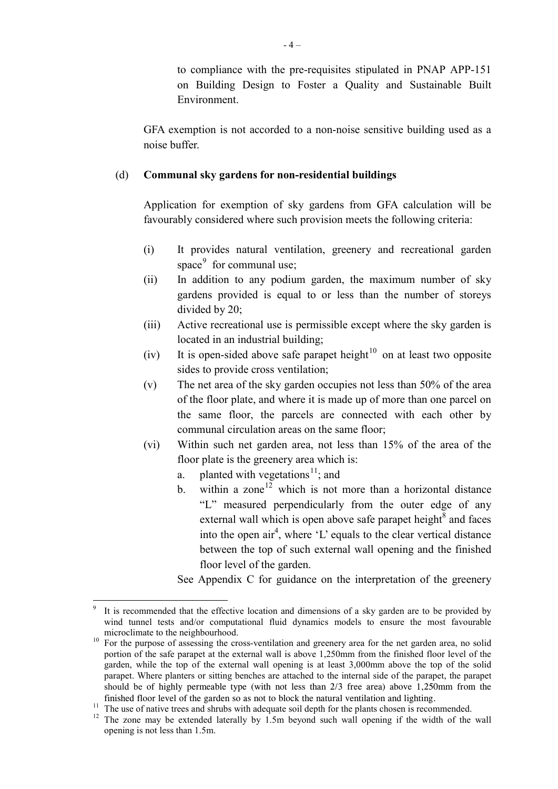to compliance with the pre-requisites stipulated in PNAP APP-151 on Building Design to Foster a Quality and Sustainable Built Environment.

GFA exemption is not accorded to a non-noise sensitive building used as a noise buffer.

### (d) **Communal sky gardens for non-residential buildings**

 Application for exemption of sky gardens from GFA calculation will be favourably considered where such provision meets the following criteria:

- favourably considered where such provision meets the following criteria:<br>
(i) It provides natural ventilation, greenery and recreational garden space<sup>9</sup> for communal use:
- $(iii)$  In addition to any podium garden, the maximum number of sky gardens provided is equal to or less than the number of storeys divided by 20;
- (iii) Active recreational use is permissible except where the sky garden is located in an industrial building;
- (iv) It is open-sided above safe parapet height $10$  on at least two opposite sides to provide cross ventilation;
- (v) The net area of the sky garden occupies not less than 50% of the area of the floor plate, and where it is made up of more than one parcel on the same floor, the parcels are connected with each other by communal circulation areas on the same floor;
- (vi) Within such net garden area, not less than 15% of the area of the floor plate is the greenery area which is:
	- a. planted with vegetations<sup>[11](#page-7-2)</sup>; and
	- floor level of the garden. b. within a zone<sup>[12](#page-7-3)</sup>which is not more than a horizontal distance "L" measured perpendicularly from the outer edge of any external wall which is open above safe parapet height $^8$  and faces into the open  $air<sup>4</sup>$ , where 'L' equals to the clear vertical distance between the top of such external wall opening and the finished
	- See Appendix C for guidance on the interpretation of the greenery

<span id="page-7-0"></span> $\overline{a}$  wind tunnel tests and/or computational fluid dynamics models to ensure the most favourable It is recommended that the effective location and dimensions of a sky garden are to be provided by

<span id="page-7-1"></span> $10\,$  portion of the safe parapet at the external wall is above 1,250mm from the finished floor level of the finished floor level of the garden so as not to block the natural ventilation and lighting.<br>The use of native trees and shrubs with adequate soil depth for the plants chosen is recommended. microclimate to the neighbourhood.<br>
10 For the purpose of assessing the cross-ventilation and greenery area for the net garden area, no solid garden, while the top of the external wall opening is at least 3,000mm above the top of the solid parapet. Where planters or sitting benches are attached to the internal side of the parapet, the parapet should be of highly permeable type (with not less than 2/3 free area) above 1,250mm from the

<span id="page-7-3"></span><span id="page-7-2"></span> $11$ finished floor level of the garden so as not to block the natural ventilation and lighting.<br><sup>11</sup> The use of native trees and shrubs with adequate soil depth for the plants chosen is recommended.<br><sup>12</sup> The zone may be exten

opening is not less than 1.5m.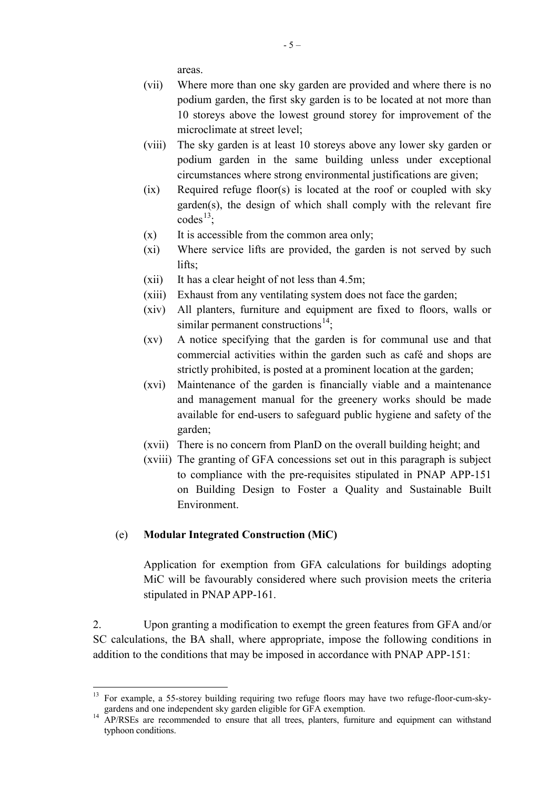areas.

- podium garden, the first sky garden is to be located at not more than (vii) Where more than one sky garden are provided and where there is no 10 storeys above the lowest ground storey for improvement of the microclimate at street level;
- (viii) The sky garden is at least 10 storeys above any lower sky garden or podium garden in the same building unless under exceptional circumstances where strong environmental justifications are given;
- garden(s), the design of which shall comply with the relevant fire (ix) Required refuge floor(s) is located at the roof or coupled with sky  $codes^{13}$  $codes^{13}$  $codes^{13}$ ;
- $(x)$  It is accessible from the common area only;
- (xi) Where service lifts are provided, the garden is not served by such lifts;
- (xii) It has a clear height of not less than 4.5m;
- (xiii) Exhaust from any ventilating system does not face the garden;
- (xiv) All planters, furniture and equipment are fixed to floors, walls or similar permanent constructions<sup>14</sup>:
- (xv) A notice specifying that the garden is for communal use and that commercial activities within the garden such as café and shops are strictly prohibited, is posted at a prominent location at the garden;
- (xvi) Maintenance of the garden is financially viable and a maintenance and management manual for the greenery works should be made available for end-users to safeguard public hygiene and safety of the garden;
- (xvii) There is no concern from PlanD on the overall building height; and
- (xviii) The granting of GFA concessions set out in this paragraph is subject to compliance with the pre-requisites stipulated in PNAP APP-151 on Building Design to Foster a Quality and Sustainable Built Environment.

## (e) **Modular Integrated Construction (MiC)**

Application for exemption from GFA calculations for buildings adopting MiC will be favourably considered where such provision meets the criteria stipulated in PNAP APP-161.

 2. Upon granting a modification to exempt the green features from GFA and/or SC calculations, the BA shall, where appropriate, impose the following conditions in addition to the conditions that may be imposed in accordance with PNAP APP-151:

<span id="page-8-0"></span> $\overline{a}$ For example, a 55-storey building requiring two refuge floors may have two refuge-floor-cum-sky-<br>gardens and one independent sky garden eligible for GFA exemption.

<span id="page-8-1"></span> gardens and one independent sky garden eligible for GFA exemption. 14 AP/RSEs are recommended to ensure that all trees, planters, furniture and equipment can withstand typhoon conditions.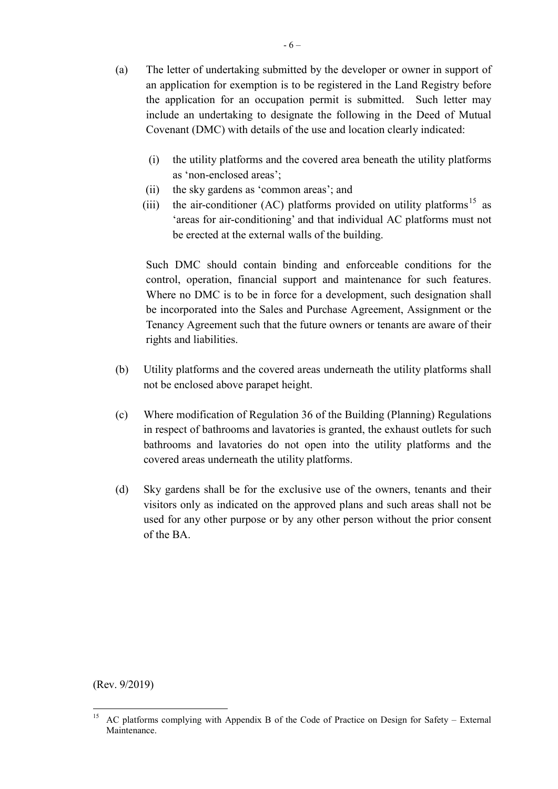- Covenant (DMC) with details of the use and location clearly indicated: (a) The letter of undertaking submitted by the developer or owner in support of an application for exemption is to be registered in the Land Registry before the application for an occupation permit is submitted. Such letter may include an undertaking to designate the following in the Deed of Mutual
	- $(i)$  the utility platforms and the covered area beneath the utility platforms as 'non-enclosed areas';
	- (ii) the sky gardens as 'common areas'; and
	- be erected at the external walls of the building. (iii) the air-conditioner (AC) platforms provided on utility platforms<sup>15</sup> as 'areas for air-conditioning' and that individual AC platforms must not

 Such DMC should contain binding and enforceable conditions for the control, operation, financial support and maintenance for such features. Where no DMC is to be in force for a development, such designation shall be incorporated into the Sales and Purchase Agreement, Assignment or the Tenancy Agreement such that the future owners or tenants are aware of their rights and liabilities.

- (b) Utility platforms and the covered areas underneath the utility platforms shall not be enclosed above parapet height.
- (c) Where modification of Regulation 36 of the Building (Planning) Regulations in respect of bathrooms and lavatories is granted, the exhaust outlets for such bathrooms and lavatories do not open into the utility platforms and the covered areas underneath the utility platforms.
- $(d)$  of the BA. Sky gardens shall be for the exclusive use of the owners, tenants and their visitors only as indicated on the approved plans and such areas shall not be used for any other purpose or by any other person without the prior consent

(Rev. 9/2019)

 $\overline{a}$ 

<span id="page-9-0"></span>AC platforms complying with Appendix B of the Code of Practice on Design for Safety – External Maintenance.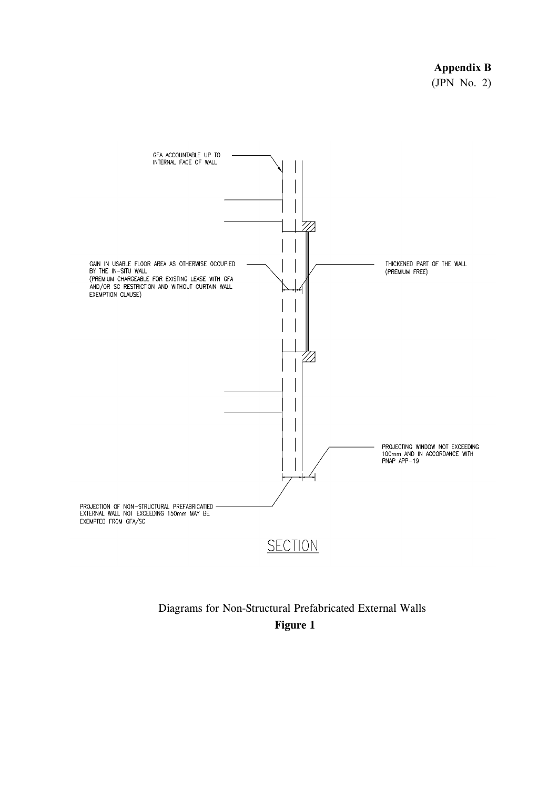### **Appendix B**

(JPN No. 2)



# Diagrams for Non-Structural Prefabricated External Walls **Figure 1**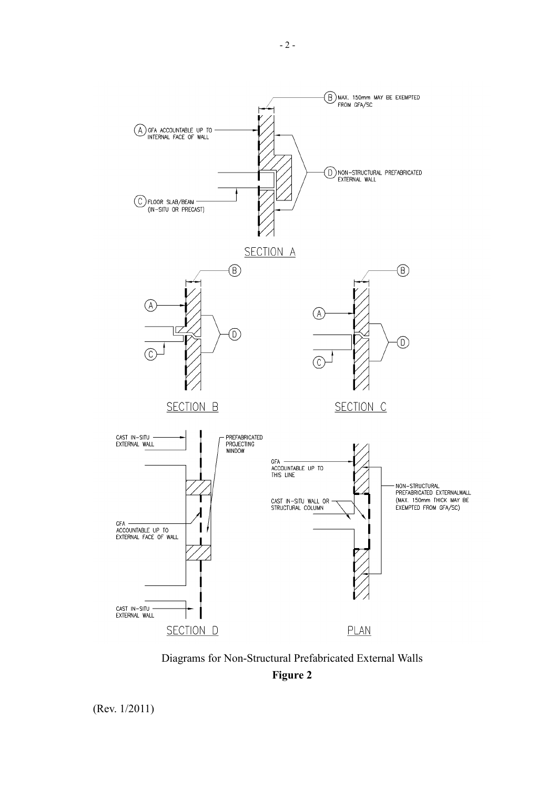

Diagrams for Non-Structural Prefabricated External Walls **Figure 2** 

(Rev. 1/2011)